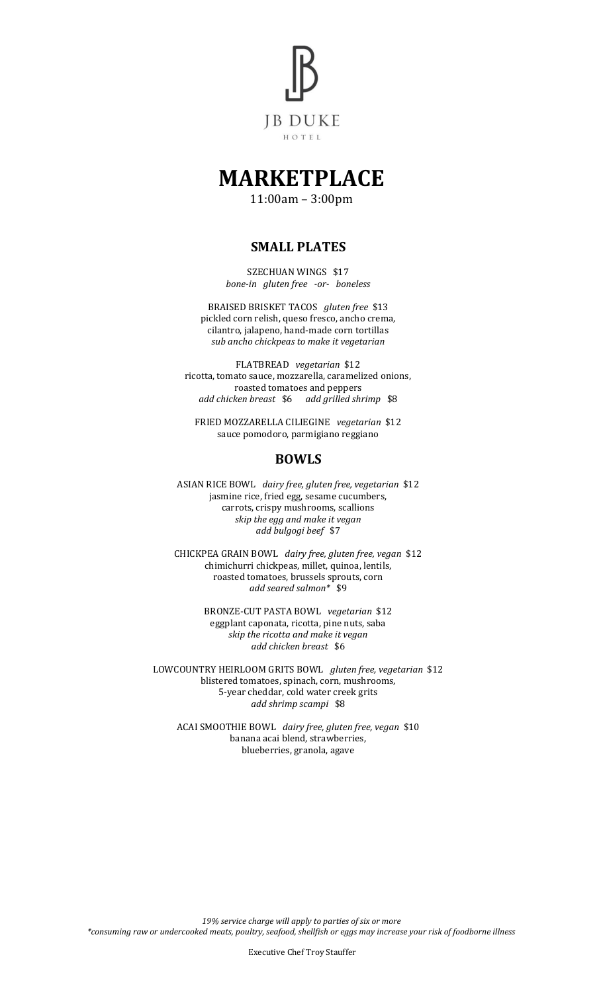

# **MARKETPLACE**

11:00am – 3:00pm

### **SMALL PLATES**

SZECHUAN WINGS \$17 *bone-in gluten free -or- boneless*

BRAISED BRISKET TACOS *gluten free* \$13 pickled corn relish, queso fresco, ancho crema, cilantro, jalapeno, hand-made corn tortillas *sub ancho chickpeas to make it vegetarian*

FLATBREAD *vegetarian* \$12 ricotta, tomato sauce, mozzarella, caramelized onions, roasted tomatoes and peppers *add chicken breast* \$6 *add grilled shrimp* \$8

FRIED MOZZARELLA CILIEGINE *vegetarian* \$12 sauce pomodoro, parmigiano reggiano

### **BOWLS**

ASIAN RICE BOWL *dairy free, gluten free, vegetarian* \$12 jasmine rice, fried egg, sesame cucumbers, carrots, crispy mushrooms, scallions *skip the egg and make it vegan add bulgogi beef* \$7

CHICKPEA GRAIN BOWL *dairy free, gluten free, vegan* \$12 chimichurri chickpeas, millet, quinoa, lentils, roasted tomatoes, brussels sprouts, corn *add seared salmon\** \$9

> BRONZE-CUT PASTA BOWL *vegetarian* \$12 eggplant caponata, ricotta, pine nuts, saba *skip the ricotta and make it vegan add chicken breast* \$6

LOWCOUNTRY HEIRLOOM GRITS BOWL *gluten free, vegetarian* \$12 blistered tomatoes, spinach, corn, mushrooms, 5-year cheddar, cold water creek grits *add shrimp scampi* \$8

ACAI SMOOTHIE BOWL *dairy free, gluten free, vegan* \$10 banana acai blend, strawberries, blueberries, granola, agave